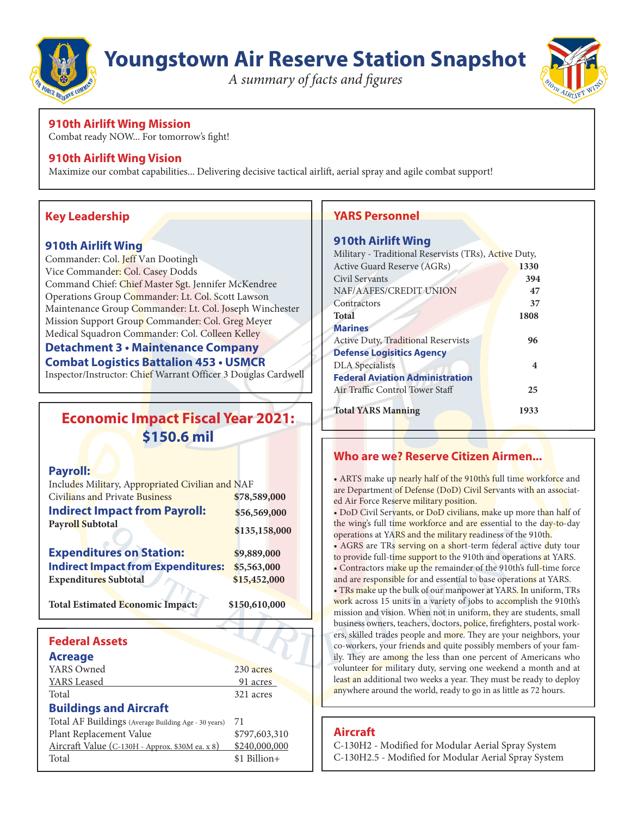

# **Youngstown Air Reserve Station Snapshot**

*A summary of facts and figures*



# **910th Airlift Wing Mission**

Combat ready NOW... For tomorrow's fight!

### **910th Airlift Wing Vision**

Maximize our combat capabilities... Delivering decisive tactical airlift, aerial spray and agile combat support!

# **Key Leadership**

### **910th Airlift Wing**

Commander: Col. Jeff Van Dootingh Vice Commander: Col. Casey Dodds Command Chief: Chief Master Sgt. Jennifer McKendree Operations Group Commander: Lt. Col. Scott Lawson Maintenance Group Commander: Lt. Col. Joseph Winchester Mission Support Group Commander: Col. Greg Meyer Medical Squadron Commander: Col. Colleen Kelley

### **Detachment 3 • Maintenance Company Combat Logistics Battalion 453 • USMCR**

Inspector/Instructor: Chief Warrant Officer 3 Douglas Cardwell

# **Economic Impact Fiscal Year 2021: \$150.6 mil**

### **Payroll:**

| Includes Military, Appropriated Civilian and NAF |               |  |
|--------------------------------------------------|---------------|--|
| <b>Civilians and Private Business</b>            | \$78,589,000  |  |
| <b>Indirect Impact from Payroll:</b>             | \$56,569,000  |  |
| <b>Payroll Subtotal</b>                          | \$135,158,000 |  |
| <b>Expenditures on Station:</b>                  | \$9,889,000   |  |
| <b>Indirect Impact from Expenditures:</b>        | \$5,563,000   |  |
| <b>Expenditures Subtotal</b>                     | \$15,452,000  |  |
| <b>Total Estimated Economic Impact:</b>          | \$150,610,000 |  |
|                                                  |               |  |
| <b>Federal Assets</b>                            |               |  |

### **Acreage** YARS Owned 230 acres **YARS** Leased 91 acres Total 321 acres **Buildings and Aircraft** Total AF Buildings (Average Building Age - 30 years) 71 Plant Replacement Value \$797,603,310 Aircraft Value (C-130H - Approx. \$30M ea. x 8) \$240,000,000

Total \$1 Billion+

# **YARS Personnel**

### **910th Airlift Wing**

| Military - Traditional Reservists (TRs), Active Duty, |      |  |
|-------------------------------------------------------|------|--|
| Active Guard Reserve (AGRs)                           | 1330 |  |
| Civil Servants                                        | 394  |  |
| NAF/AAFES/CREDIT UNION                                | 47   |  |
| Contractors                                           | 37   |  |
| <b>Total</b>                                          | 1808 |  |
| <b>Marines</b>                                        |      |  |
| <b>Active Duty, Traditional Reservists</b>            | 96   |  |
| <b>Defense Logisitics Agency</b>                      |      |  |
| <b>DLA</b> Specialists                                | 4    |  |
| <b>Federal Aviation Administration</b>                |      |  |
| Air Traffic Control Tower Staff                       | 25   |  |
|                                                       |      |  |
| <b>Total YARS Manning</b>                             | 1933 |  |
|                                                       |      |  |

### **Who are we? Reserve Citizen Airmen...**

• ARTS make up nearly half of the 910th's full time workforce and are Department of Defense (DoD) Civil Servants with an associated Air Force Reserve military position.

• DoD Civil Servants, or DoD civilians, make up more than half of the wing's full time workforce and are essential to the day-to-day operations at YARS and the military readiness of the 910th.

• AGRS are TRs serving on a short-term federal active duty tour to provide full-time support to the 910th and operations at YARS. • Contractors make up the remainder of the 910th's full-time force

and are responsible for and essential to base operations at YARS. • TRs make up the bulk of our manpower at YARS. In uniform, TRs work across 15 units in a variety of jobs to accomplish the 910th's mission and vision. When not in uniform, they are students, small business owners, teachers, doctors, police, firefighters, postal workers, skilled trades people and more. They are your neighbors, your co-workers, your friends and quite possibly members of your family. They are among the less than one percent of Americans who volunteer for military duty, serving one weekend a month and at least an additional two weeks a year. They must be ready to deploy anywhere around the world, ready to go in as little as 72 hours.

# **Aircraft**

C-130H2 - Modified for Modular Aerial Spray System C-130H2.5 - Modified for Modular Aerial Spray System